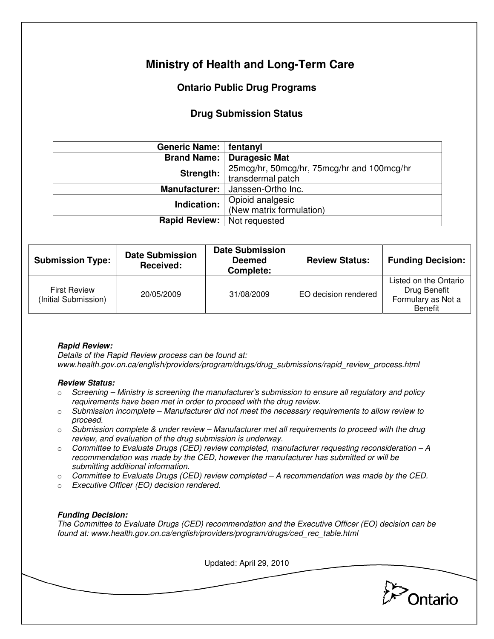# **Ministry of Health and Long-Term Care**

## **Ontario Public Drug Programs**

### **Drug Submission Status**

| Generic Name:   fentanyl                   |  |  |
|--------------------------------------------|--|--|
| <b>Brand Name: Duragesic Mat</b>           |  |  |
| 25mcg/hr, 50mcg/hr, 75mcg/hr and 100mcg/hr |  |  |
| transdermal patch                          |  |  |
| Manufacturer:<br>Janssen-Ortho Inc.        |  |  |
| Opioid analgesic                           |  |  |
| (New matrix formulation)                   |  |  |
| Rapid Review:<br>Not requested             |  |  |
|                                            |  |  |

| <b>Submission Type:</b>                     | <b>Date Submission</b><br>Received: | <b>Date Submission</b><br><b>Deemed</b><br>Complete: | <b>Review Status:</b> | <b>Funding Decision:</b>                                                      |
|---------------------------------------------|-------------------------------------|------------------------------------------------------|-----------------------|-------------------------------------------------------------------------------|
| <b>First Review</b><br>(Initial Submission) | 20/05/2009                          | 31/08/2009                                           | EO decision rendered  | Listed on the Ontario<br>Drug Benefit<br>Formulary as Not a<br><b>Benefit</b> |

#### **Rapid Review:**

Details of the Rapid Review process can be found at: www.health.gov.on.ca/english/providers/program/drugs/drug\_submissions/rapid\_review\_process.html

#### **Review Status:**

- $\circ$  Screening Ministry is screening the manufacturer's submission to ensure all regulatory and policy requirements have been met in order to proceed with the drug review.
- $\circ$  Submission incomplete Manufacturer did not meet the necessary requirements to allow review to proceed.
- $\circ$  Submission complete & under review Manufacturer met all requirements to proceed with the drug review, and evaluation of the drug submission is underway.
- $\circ$  Committee to Evaluate Drugs (CED) review completed, manufacturer requesting reconsideration A recommendation was made by the CED, however the manufacturer has submitted or will be submitting additional information.
- $\circ$  Committee to Evaluate Drugs (CED) review completed  $-A$  recommendation was made by the CED.
- o Executive Officer (EO) decision rendered.

#### **Funding Decision:**

The Committee to Evaluate Drugs (CED) recommendation and the Executive Officer (EO) decision can be found at: www.health.gov.on.ca/english/providers/program/drugs/ced\_rec\_table.html

Updated: April 29, 2010